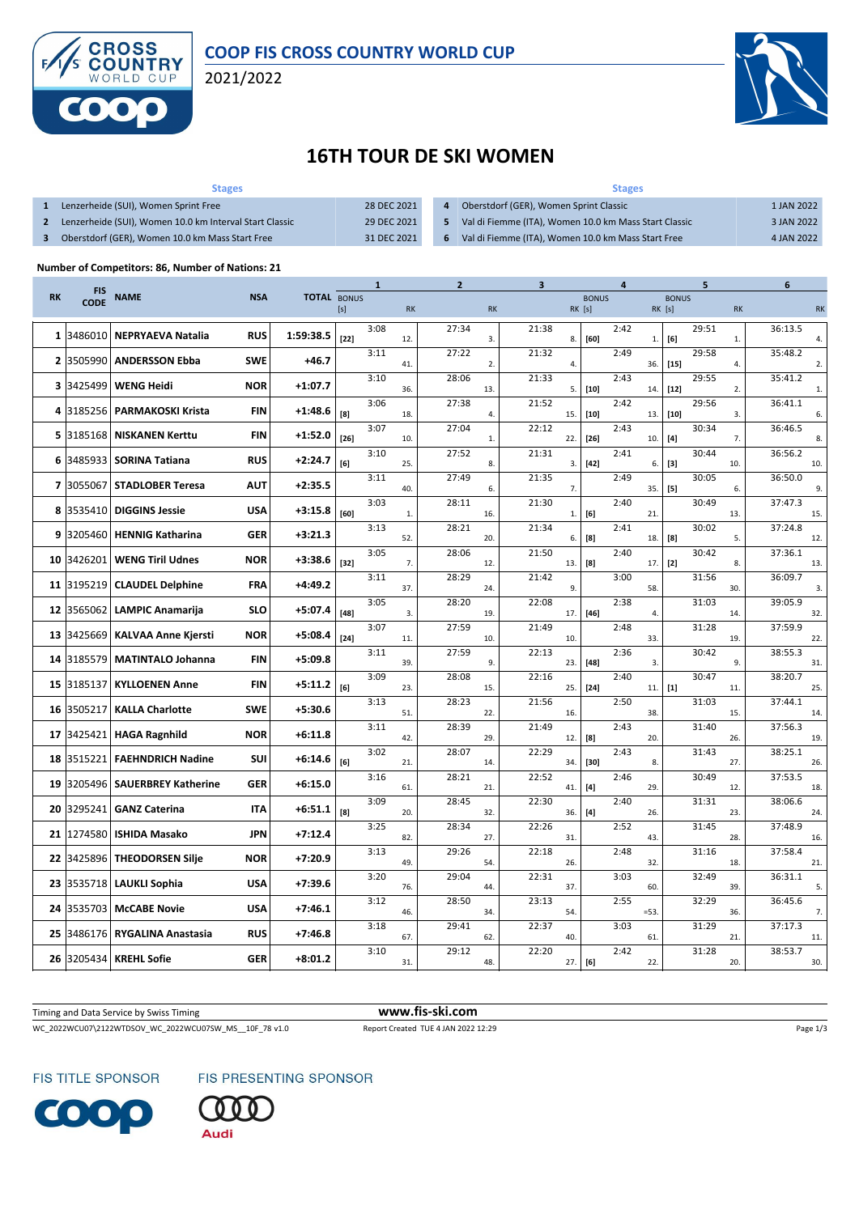

2021/2022



## **16TH TOUR DE SKI WOMEN**

| <b>Stages</b>                                           |             |    | <b>Stages</b>                                         |            |
|---------------------------------------------------------|-------------|----|-------------------------------------------------------|------------|
| Lenzerheide (SUI), Women Sprint Free                    | 28 DEC 2021 |    | Oberstdorf (GER), Women Sprint Classic                | 1 JAN 2022 |
| Lenzerheide (SUI), Women 10.0 km Interval Start Classic | 29 DEC 2021 |    | Val di Fiemme (ITA), Women 10.0 km Mass Start Classic | 3 JAN 2022 |
| Oberstdorf (GER), Women 10.0 km Mass Start Free         | 31 DEC 2021 | 6. | Val di Fiemme (ITA), Women 10.0 km Mass Start Free    | 4 JAN 2022 |

## **Number of Competitors: 86, Number of Nations: 21**

|              | <b>FIS</b>  |                            |            |                    |        | 1    |           | $\overline{2}$ |           | 3            |                        | 4    |              | 5               |                | 6              |
|--------------|-------------|----------------------------|------------|--------------------|--------|------|-----------|----------------|-----------|--------------|------------------------|------|--------------|-----------------|----------------|----------------|
| <b>RK</b>    | <b>CODE</b> | <b>NAME</b>                | <b>NSA</b> | <b>TOTAL BONUS</b> | [s]    |      | <b>RK</b> |                | <b>RK</b> |              | <b>BONUS</b><br>RK [s] |      | RK [s]       | <b>BONUS</b>    | <b>RK</b>      | <b>RK</b>      |
| 1            | 3486010     | <b>NEPRYAEVA Natalia</b>   | <b>RUS</b> | 1:59:38.5          | $[22]$ | 3:08 | 12.       | 27:34          | 3.        | 21:38<br>8.  | $[60]$                 | 2:42 | $\mathbf{1}$ | 29:51<br>[6]    | $\mathbf{1}$   | 36:13.5<br>4.  |
| $\mathbf{2}$ | 3505990     | <b>ANDERSSON Ebba</b>      | <b>SWE</b> | $+46.7$            |        | 3:11 | 41.       | 27:22          | 2.        | 21:32<br>4.  |                        | 2:49 | 36.          | 29:58<br>$[15]$ | 4.             | 35:48.2<br>2.  |
| 3            | 3425499     | <b>WENG Heidi</b>          | <b>NOR</b> | $+1:07.7$          |        | 3:10 | 36.       | 28:06          | 13.       | 21:33<br>5.  | $[10]$                 | 2:43 | 14.          | 29:55<br>$[12]$ | $\overline{2}$ | 35:41.2<br>1.  |
| 4            | 3185256     | <b>PARMAKOSKI Krista</b>   | <b>FIN</b> | $+1:48.6$          | [8]    | 3:06 | 18.       | 27:38          | 4.        | 21:52<br>15. | $[10]$                 | 2:42 | 13.          | 29:56<br>$[10]$ | 3.             | 36:41.1<br>6.  |
| 5            | 3185168     | <b>NISKANEN Kerttu</b>     | <b>FIN</b> | $+1:52.0$          | $[26]$ | 3:07 | 10.       | 27:04          | 1.        | 22:12<br>22. | $[26]$                 | 2:43 | 10.          | 30:34<br>$[4]$  | 7.             | 36:46.5<br>8.  |
| 6            | 3485933     | <b>SORINA Tatiana</b>      | <b>RUS</b> | $+2:24.7$          | [6]    | 3:10 | 25.       | 27:52          | 8.        | 21:31<br>3.  | $[42]$                 | 2:41 | 6.           | 30:44<br>[3]    | 10.            | 36:56.2<br>10. |
| 7            | 3055067     | <b>STADLOBER Teresa</b>    | <b>AUT</b> | $+2:35.5$          |        | 3:11 | 40.       | 27:49          | 6.        | 21:35<br>7.  |                        | 2:49 | 35.          | 30:05<br>$[5]$  | 6.             | 36:50.0<br>9.  |
| 8            | 3535410     | <b>DIGGINS Jessie</b>      | <b>USA</b> | $+3:15.8$          | [60]   | 3:03 | 1.        | 28:11          | 16.       | 21:30<br>1.  | [6]                    | 2:40 | 21.          | 30:49           | 13.            | 37:47.3<br>15. |
| 9            | 3205460     | <b>HENNIG Katharina</b>    | <b>GER</b> | $+3:21.3$          |        | 3:13 | 52.       | 28:21          | 20.       | 21:34<br>6.  | [8]                    | 2:41 | 18.          | 30:02<br>[8]    | 5.             | 37:24.8<br>12. |
| 10           | 3426201     | <b>WENG Tiril Udnes</b>    | <b>NOR</b> | $+3:38.6$          | $[32]$ | 3:05 | 7.        | 28:06          | 12.       | 21:50<br>13. | [8]                    | 2:40 | 17.          | 30:42<br>$[2]$  | 8.             | 37:36.1<br>13. |
| 11           | 3195219     | <b>CLAUDEL Delphine</b>    | <b>FRA</b> | $+4:49.2$          |        | 3:11 | 37.       | 28:29          | 24.       | 21:42<br>9.  |                        | 3:00 | 58.          | 31:56           | 30.            | 36:09.7<br>3.  |
| 12           | 3565062     | <b>LAMPIC Anamarija</b>    | <b>SLO</b> | $+5:07.4$          | $[48]$ | 3:05 | 3.        | 28:20          | 19.       | 22:08<br>17. | $[46]$                 | 2:38 | 4.           | 31:03           | 14.            | 39:05.9<br>32. |
| 13           | 3425669     | <b>KALVAA Anne Kjersti</b> | <b>NOR</b> | $+5:08.4$          | $[24]$ | 3:07 | 11.       | 27:59          | 10.       | 21:49<br>10. |                        | 2:48 | 33.          | 31:28           | 19.            | 37:59.9<br>22. |
| 14           | 3185579     | <b>MATINTALO Johanna</b>   | <b>FIN</b> | $+5:09.8$          |        | 3:11 | 39.       | 27:59          | 9.        | 22:13<br>23. | $[48]$                 | 2:36 | 3.           | 30:42           | 9.             | 38:55.3<br>31. |
| 15           | 3185137     | <b>KYLLOENEN Anne</b>      | <b>FIN</b> | $+5:11.2$          | [6]    | 3:09 | 23.       | 28:08          | 15.       | 22:16<br>25. | $[24]$                 | 2:40 | 11.          | 30:47<br>$[1]$  | 11.            | 38:20.7<br>25. |
| 16           | 3505217     | <b>KALLA Charlotte</b>     | <b>SWE</b> | $+5:30.6$          |        | 3:13 | 51.       | 28:23          | 22.       | 21:56<br>16. |                        | 2:50 | 38.          | 31:03           | 15.            | 37:44.1<br>14. |
| 17           | 3425421     | <b>HAGA Ragnhild</b>       | <b>NOR</b> | $+6:11.8$          |        | 3:11 | 42.       | 28:39          | 29.       | 21:49<br>12. | [8]                    | 2:43 | 20.          | 31:40           | 26.            | 37:56.3<br>19. |
| 18           | 3515221     | <b>FAEHNDRICH Nadine</b>   | SUI        | $+6:14.6$          | [6]    | 3:02 | 21        | 28:07          | 14.       | 22:29<br>34. | $[30]$                 | 2:43 | 8.           | 31:43           | 27.            | 38:25.1<br>26. |
| 19           | 3205496     | <b>SAUERBREY Katherine</b> | <b>GER</b> | $+6:15.0$          |        | 3:16 | 61.       | 28:21          | 21.       | 22:52<br>41. | $[4]$                  | 2:46 | 29.          | 30:49           | 12.            | 37:53.5<br>18. |
| 20           | 3295241     | <b>GANZ Caterina</b>       | <b>ITA</b> | +6:51.1            | [8]    | 3:09 | 20.       | 28:45          | 32.       | 22:30<br>36. | $[4]$                  | 2:40 | 26.          | 31:31           | 23.            | 38:06.6<br>24. |
| 21           | 1274580     | <b>ISHIDA Masako</b>       | <b>JPN</b> | $+7:12.4$          |        | 3:25 | 82.       | 28:34          | 27.       | 22:26<br>31. |                        | 2:52 | 43.          | 31:45           | 28.            | 37:48.9<br>16. |
| 22           | 3425896     | <b>THEODORSEN Silje</b>    | <b>NOR</b> | $+7:20.9$          |        | 3:13 | 49.       | 29:26          | 54.       | 22:18<br>26. |                        | 2:48 | 32.          | 31:16           | 18.            | 37:58.4<br>21. |
| 23           | 3535718     | <b>LAUKLI Sophia</b>       | <b>USA</b> | $+7:39.6$          |        | 3:20 | 76.       | 29:04          | 44.       | 22:31<br>37. |                        | 3:03 | 60.          | 32:49           | 39.            | 36:31.1<br>5.  |
| 24           | 3535703     | <b>McCABE Novie</b>        | <b>USA</b> | $+7:46.1$          |        | 3:12 | 46.       | 28:50          | 34.       | 23:13<br>54. |                        | 2:55 | $=53$        | 32:29           | 36.            | 36:45.6<br>7.  |
| 25           | 3486176     | <b>RYGALINA Anastasia</b>  | <b>RUS</b> | $+7:46.8$          |        | 3:18 | 67        | 29:41          | 62.       | 22:37<br>40. |                        | 3:03 | 61.          | 31:29           | 21.            | 37:17.3<br>11. |
| 26           | 3205434     | <b>KREHL Sofie</b>         | <b>GER</b> | $+8:01.2$          |        | 3:10 | 31.       | 29:12          | 48.       | 22:20<br>27. | [6]                    | 2:42 | 22.          | 31:28           | 20.            | 38:53.7<br>30. |

Timing and Data Service by Swiss Timing **www.fis-ski.com**

WC\_2022WCU07\2122WTDSOV\_WC\_2022WCU07SW\_MS\_\_10F\_78 v1.0 Report Created TUE 4 JAN 2022 12:29 Page 1/3

FIS TITLE SPONSOR



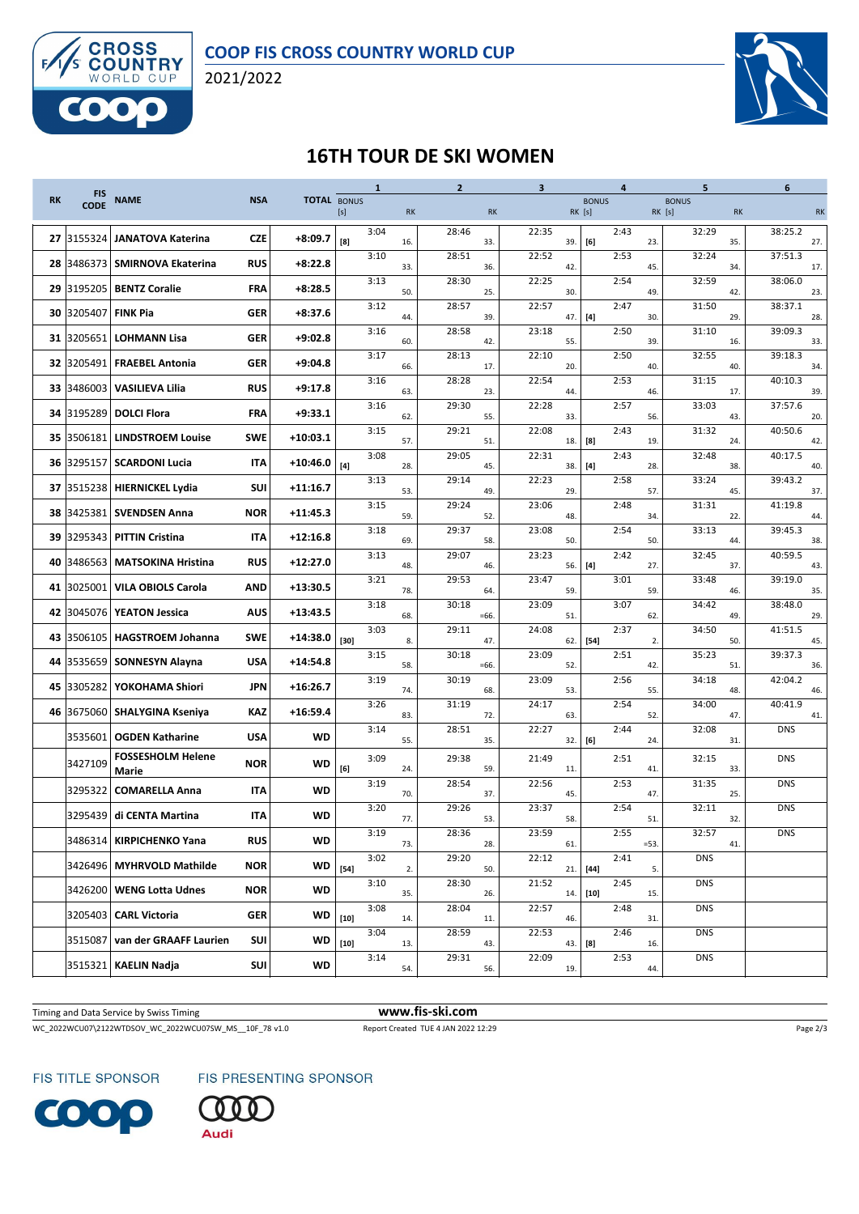

2021/2022



## **16TH TOUR DE SKI WOMEN**

|           | <b>FIS</b>  |                                   |            |                    |        | $\mathbf{1}$ |           | $\overline{2}$ |           | $\mathbf{3}$ |        |              | 4    |        | 5            |           | 6              |
|-----------|-------------|-----------------------------------|------------|--------------------|--------|--------------|-----------|----------------|-----------|--------------|--------|--------------|------|--------|--------------|-----------|----------------|
| <b>RK</b> | <b>CODE</b> | <b>NAME</b>                       | <b>NSA</b> | <b>TOTAL BONUS</b> | [s]    |              | <b>RK</b> |                | <b>RK</b> |              | RK [s] | <b>BONUS</b> |      | RK [s] | <b>BONUS</b> | <b>RK</b> | <b>RK</b>      |
|           | 27 3155324  | <b>JANATOVA Katerina</b>          | <b>CZE</b> | +8:09.7            | [8]    | 3:04         | 16.       | 28:46          | 33.       | 22:35        | 39.    | [6]          | 2:43 | 23.    | 32:29        | 35.       | 38:25.2<br>27. |
| 28        | 3486373     | <b>SMIRNOVA Ekaterina</b>         | <b>RUS</b> | $+8:22.8$          |        | 3:10         | 33.       | 28:51          | 36.       | 22:52        | 42.    |              | 2:53 | 45.    | 32:24        | 34.       | 37:51.3<br>17. |
|           | 29 3195205  | <b>BENTZ Coralie</b>              | <b>FRA</b> | $+8:28.5$          |        | 3:13         | 50.       | 28:30          | 25.       | 22:25        | 30.    |              | 2:54 | 49.    | 32:59        | 42.       | 38:06.0<br>23. |
|           | 30 3205407  | <b>FINK Pia</b>                   | <b>GER</b> | $+8:37.6$          |        | 3:12         | 44.       | 28:57          | 39.       | 22:57        | 47.    | $[4]$        | 2:47 | 30.    | 31:50        | 29.       | 38:37.1<br>28. |
|           | 31 3205651  | <b>LOHMANN Lisa</b>               | <b>GER</b> | $+9:02.8$          |        | 3:16         | 60.       | 28:58          | 42.       | 23:18        | 55.    |              | 2:50 | 39.    | 31:10        | 16.       | 39:09.3<br>33. |
| 32 I      | 3205491     | <b>FRAEBEL Antonia</b>            | <b>GER</b> | $+9:04.8$          |        | 3:17         | 66.       | 28:13          | 17.       | 22:10        | 20.    |              | 2:50 | 40.    | 32:55        | 40.       | 39:18.3<br>34. |
| 33 I      | 3486003     | <b>VASILIEVA Lilia</b>            | <b>RUS</b> | $+9:17.8$          |        | 3:16         | 63.       | 28:28          | 23.       | 22:54        | 44.    |              | 2:53 | 46.    | 31:15        | 17.       | 40:10.3<br>39. |
|           | 34 3195289  | <b>DOLCI Flora</b>                | <b>FRA</b> | $+9:33.1$          |        | 3:16         | 62.       | 29:30          | 55.       | 22:28        | 33.    |              | 2:57 | 56.    | 33:03        | 43.       | 37:57.6<br>20. |
| 35 I      | 3506181     | <b>LINDSTROEM Louise</b>          | <b>SWE</b> | $+10:03.1$         |        | 3:15         | 57.       | 29:21          | 51.       | 22:08        | 18.    | [8]          | 2:43 | 19.    | 31:32        | 24.       | 40:50.6<br>42. |
| 36        | 3295157     | <b>SCARDONI Lucia</b>             | <b>ITA</b> | $+10:46.0$         | $[4]$  | 3:08         | 28.       | 29:05          | 45.       | 22:31        | 38.    | $[4]$        | 2:43 | 28.    | 32:48        | 38.       | 40:17.5<br>40. |
|           | 37 3515238  | <b>HIERNICKEL Lydia</b>           | SUI        | $+11:16.7$         |        | 3:13         | 53.       | 29:14          | 49.       | 22:23        | 29.    |              | 2:58 | 57.    | 33:24        | 45.       | 39:43.2<br>37. |
|           | 38 3425381  | <b>SVENDSEN Anna</b>              | <b>NOR</b> | $+11:45.3$         |        | 3:15         | 59.       | 29:24          | 52.       | 23:06        | 48.    |              | 2:48 | 34.    | 31:31        | 22.       | 41:19.8<br>44. |
|           | 39 3295343  | <b>PITTIN Cristina</b>            | <b>ITA</b> | $+12:16.8$         |        | 3:18         | 69.       | 29:37          | 58.       | 23:08        | 50.    |              | 2:54 | 50.    | 33:13        | 44.       | 39:45.3<br>38. |
| 40        | 3486563     | <b>MATSOKINA Hristina</b>         | <b>RUS</b> | $+12:27.0$         |        | 3:13         | 48.       | 29:07          | 46.       | 23:23        | 56.    | $[4]$        | 2:42 | 27.    | 32:45        | 37.       | 40:59.5<br>43. |
|           | 41 3025001  | <b>VILA OBIOLS Carola</b>         | AND        | $+13:30.5$         |        | 3:21         | 78.       | 29:53          | 64.       | 23:47        | 59.    |              | 3:01 | 59.    | 33:48        | 46.       | 39:19.0<br>35. |
| 42        | 3045076     | <b>YEATON Jessica</b>             | <b>AUS</b> | $+13:43.5$         |        | 3:18         | 68.       | 30:18          | $=66.$    | 23:09        | 51.    |              | 3:07 | 62.    | 34:42        | 49.       | 38:48.0<br>29. |
|           | 43 3506105  | <b>HAGSTROEM Johanna</b>          | <b>SWE</b> | $+14:38.0$         | $[30]$ | 3:03         | 8.        | 29:11          | 47.       | 24:08        | 62.    | $[54]$       | 2:37 | 2.     | 34:50        | 50.       | 41:51.5<br>45. |
| 44        | 3535659     | <b>SONNESYN Alayna</b>            | <b>USA</b> | $+14:54.8$         |        | 3:15         | 58.       | 30:18          | $=66.$    | 23:09        | 52.    |              | 2:51 | 42.    | 35:23        | 51.       | 39:37.3<br>36. |
| 45        | 3305282     | YOKOHAMA Shiori                   | <b>JPN</b> | $+16:26.7$         |        | 3:19         | 74.       | 30:19          | 68.       | 23:09        | 53.    |              | 2:56 | 55.    | 34:18        | 48.       | 42:04.2<br>46. |
|           | 46 3675060  | <b>SHALYGINA Kseniya</b>          | KAZ        | $+16:59.4$         |        | 3:26         | 83.       | 31:19          | 72.       | 24:17        | 63.    |              | 2:54 | 52.    | 34:00        | 47.       | 40:41.9<br>41. |
|           | 3535601     | <b>OGDEN Katharine</b>            | <b>USA</b> | <b>WD</b>          |        | 3:14         | 55.       | 28:51          | 35.       | 22:27        | 32.    | [6]          | 2:44 | 24.    | 32:08        | 31.       | <b>DNS</b>     |
|           | 3427109     | <b>FOSSESHOLM Helene</b><br>Marie | <b>NOR</b> | WD                 | [6]    | 3:09         | 24.       | 29:38          | 59.       | 21:49        | 11.    |              | 2:51 | 41.    | 32:15        | 33.       | <b>DNS</b>     |
|           | 3295322     | <b>COMARELLA Anna</b>             | IΤΑ        | <b>WD</b>          |        | 3:19         | 70.       | 28:54          | 37.       | 22:56        | 45.    |              | 2:53 | 47.    | 31:35        | 25.       | <b>DNS</b>     |
|           | 3295439     | di CENTA Martina                  | IΤΑ        | <b>WD</b>          |        | 3:20         | 77.       | 29:26          | 53.       | 23:37        | 58.    |              | 2:54 | 51.    | 32:11        | 32.       | <b>DNS</b>     |
|           |             | 3486314   KIRPICHENKO Yana        | <b>RUS</b> | WD                 |        | 3:19         | 73.       | 28:36          | 28.       | 23:59        | 61.    |              | 2:55 | $=53.$ | 32:57        | 41.       | <b>DNS</b>     |
|           |             | 3426496   MYHRVOLD Mathilde       | <b>NOR</b> | WD                 | $[54]$ | 3:02         | 2.        | 29:20          | 50.       | 22:12        | 21.    | $[44]$       | 2:41 | 5.     | <b>DNS</b>   |           |                |
|           | 3426200     | <b>WENG Lotta Udnes</b>           | <b>NOR</b> | WD                 |        | 3:10         | 35.       | 28:30          | 26.       | 21:52        | 14.    | $[10]$       | 2:45 | 15.    | <b>DNS</b>   |           |                |
|           | 3205403     | <b>CARL Victoria</b>              | <b>GER</b> | WD                 | $[10]$ | 3:08         | 14.       | 28:04          | 11.       | 22:57        | 46.    |              | 2:48 | 31.    | <b>DNS</b>   |           |                |
|           | 3515087     | van der GRAAFF Laurien            | SUI        | WD                 | $[10]$ | 3:04         | 13.       | 28:59          | 43.       | 22:53        | 43.    | [8]          | 2:46 | 16.    | <b>DNS</b>   |           |                |
|           | 3515321     | KAELIN Nadja                      | SUI        | WD                 |        | 3:14         | 54.       | 29:31          | 56.       | 22:09        | 19.    |              | 2:53 | 44.    | <b>DNS</b>   |           |                |
|           |             |                                   |            |                    |        |              |           |                |           |              |        |              |      |        |              |           |                |

Timing and Data Service by Swiss Timing **www.fis-ski.com**

WC\_2022WCU07\2122WTDSOV\_WC\_2022WCU07SW\_MS\_\_10F\_78 v1.0 Report Created TUE 4 JAN 2022 12:29 Page 2/3

FIS TITLE SPONSOR